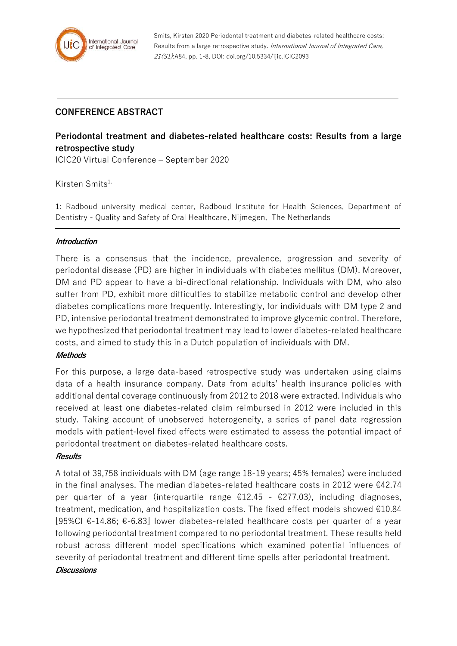

Smits, Kirsten 2020 Periodontal treatment and diabetes-related healthcare costs: Results from a large retrospective study. International Journal of Integrated Care, 21(S1):A84, pp. 1-8, DOI: doi.org/10.5334/ijic.ICIC2093

## **CONFERENCE ABSTRACT**

# **Periodontal treatment and diabetes-related healthcare costs: Results from a large retrospective study**

ICIC20 Virtual Conference – September 2020

Kirsten Smits1,

1: Radboud university medical center, Radboud Institute for Health Sciences, Department of Dentistry - Quality and Safety of Oral Healthcare, Nijmegen, The Netherlands

#### **Introduction**

There is a consensus that the incidence, prevalence, progression and severity of periodontal disease (PD) are higher in individuals with diabetes mellitus (DM). Moreover, DM and PD appear to have a bi-directional relationship. Individuals with DM, who also suffer from PD, exhibit more difficulties to stabilize metabolic control and develop other diabetes complications more frequently. Interestingly, for individuals with DM type 2 and PD, intensive periodontal treatment demonstrated to improve glycemic control. Therefore, we hypothesized that periodontal treatment may lead to lower diabetes-related healthcare costs, and aimed to study this in a Dutch population of individuals with DM.

#### **Methods**

For this purpose, a large data-based retrospective study was undertaken using claims data of a health insurance company. Data from adults' health insurance policies with additional dental coverage continuously from 2012 to 2018 were extracted. Individuals who received at least one diabetes-related claim reimbursed in 2012 were included in this study. Taking account of unobserved heterogeneity, a series of panel data regression models with patient-level fixed effects were estimated to assess the potential impact of periodontal treatment on diabetes-related healthcare costs.

#### **Results**

A total of 39,758 individuals with DM (age range 18-19 years; 45% females) were included in the final analyses. The median diabetes-related healthcare costs in 2012 were  $€42.74$ per quarter of a year (interquartile range €12.45 - €277.03), including diagnoses, treatment, medication, and hospitalization costs. The fixed effect models showed  $\text{\textsterling}10.84$ [95%CI €-14.86; €-6.83] lower diabetes-related healthcare costs per quarter of a year following periodontal treatment compared to no periodontal treatment. These results held robust across different model specifications which examined potential influences of severity of periodontal treatment and different time spells after periodontal treatment.

#### **Discussions**